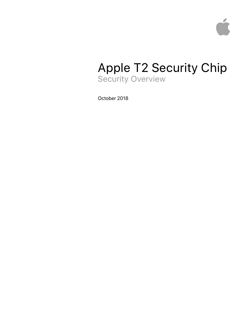

# Apple T2 Security Chip Security Overview

October 2018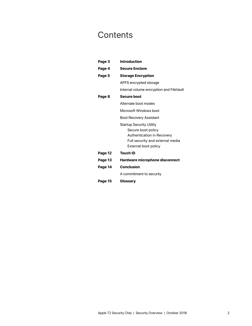# **Contents**

| Page 3  | <b>Introduction</b>                                                                                                                             |
|---------|-------------------------------------------------------------------------------------------------------------------------------------------------|
| Page 4  | <b>Secure Enclave</b>                                                                                                                           |
| Page 5  | <b>Storage Encryption</b>                                                                                                                       |
|         | APFS encrypted storage                                                                                                                          |
|         | Internal volume encryption and FileVault                                                                                                        |
| Page 8  | <b>Secure boot</b>                                                                                                                              |
|         | Alternate boot modes                                                                                                                            |
|         | Microsoft Windows boot                                                                                                                          |
|         | Boot Recovery Assistant                                                                                                                         |
|         | <b>Startup Security Utility</b><br>Secure boot policy<br>Authentication in Recovery<br>Full security and external media<br>External boot policy |
| Page 12 | <b>Touch ID</b>                                                                                                                                 |
| Page 13 | Hardware microphone disconnect                                                                                                                  |
| Page 14 | <b>Conclusion</b>                                                                                                                               |
|         | A commitment to security                                                                                                                        |
| Page 15 | Glossary                                                                                                                                        |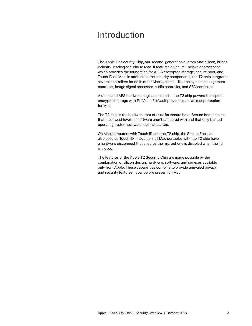## Introduction

The Apple T2 Security Chip, our second-generation custom Mac silicon, brings industry-leading security to Mac. It features a Secure Enclave coprocessor, which provides the foundation for APFS encrypted storage, secure boot, and Touch ID on Mac. In addition to the security components, the T2 chip integrates several controllers found in other Mac systems—like the system management controller, image signal processor, audio controller, and SSD controller.

A dedicated AES hardware engine included in the T2 chip powers line-speed encrypted storage with FileVault. FileVault provides data-at-rest protection for Mac.

The T2 chip is the hardware root of trust for secure boot. Secure boot ensures that the lowest levels of software aren't tampered with and that only trusted operating system software loads at startup.

On Mac computers with Touch ID and the T2 chip, the Secure Enclave also secures Touch ID. In addition, all Mac portables with the T2 chip have a hardware disconnect that ensures the microphone is disabled when the lid is closed.

The features of the Apple T2 Security Chip are made possible by the combination of silicon design, hardware, software, and services available only from Apple. These capabilities combine to provide unrivaled privacy and security features never before present on Mac.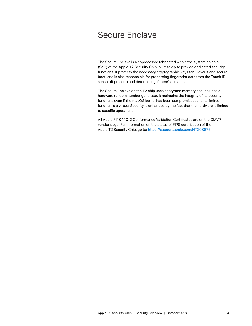## Secure Enclave

The Secure Enclave is a coprocessor fabricated within the system on chip (SoC) of the Apple T2 Security Chip, built solely to provide dedicated security functions. It protects the necessary cryptographic keys for FileVault and secure boot, and is also responsible for processing fingerprint data from the Touch ID sensor (if present) and determining if there's a match.

The Secure Enclave on the T2 chip uses encrypted memory and includes a hardware random number generator. It maintains the integrity of its security functions even if the macOS kernel has been compromised, and its limited function is a virtue: Security is enhanced by the fact that the hardware is limited to specific operations.

All Apple FIPS 140-2 Conformance Validation Certificates are on the CMVP vendor page. For information on the status of FIPS certification of the Apple T2 Security Chip, go to: [https://support.apple.com/HT208675.](https://support.apple.com/en-us/HT208675)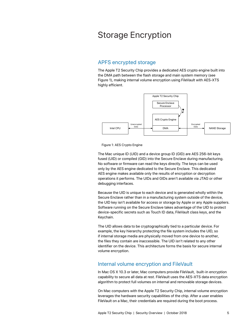## Storage Encryption

## APFS encrypted storage

The Apple T2 Security Chip provides a dedicated AES crypto engine built into the DMA path between the flash storage and main system memory (see Figure 1), making internal volume encryption using FileVault with AES-XTS highly efficient.



Figure 1: AES Crypto Engine

The Mac unique ID (UID) and a device group ID (GID) are AES 256-bit keys fused (UID) or compiled (GID) into the Secure Enclave during manufacturing. No software or firmware can read the keys directly. The keys can be used only by the AES engine dedicated to the Secure Enclave. This dedicated AES engine makes available only the results of encryption or decryption operations it performs. The UIDs and GIDs aren't available via JTAG or other debugging interfaces.

Because the UID is unique to each device and is generated wholly within the Secure Enclave rather than in a manufacturing system outside of the device, the UID key isn't available for access or storage by Apple or any Apple suppliers. Software running on the Secure Enclave takes advantage of the UID to protect device-specific secrets such as Touch ID data, FileVault class keys, and the Keychain.

The UID allows data to be cryptographically tied to a particular device. For example, the key hierarchy protecting the file system includes the UID, so if internal storage media are physically moved from one device to another, the files they contain are inaccessible. The UID isn't related to any other identifier on the device. This architecture forms the basis for secure internal volume encryption.

### Internal volume encryption and FileVault

In Mac OS X 10.3 or later, Mac computers provide FileVault, built-in encryption capability to secure all data at rest. FileVault uses the AES-XTS data encryption algorithm to protect full volumes on internal and removable storage devices.

On Mac computers with the Apple T2 Security Chip, internal volume encryption leverages the hardware security capabilities of the chip. After a user enables FileVault on a Mac, their credentials are required during the boot process.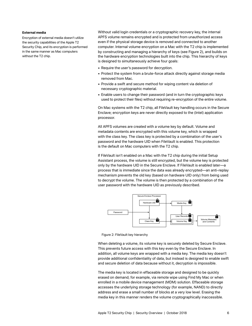#### **External media**

Encryption of external media doesn't utilize the security capabilities of the Apple T2 Security Chip, and its encryption is performed in the same manner as Mac computers without the T2 chip.

Without valid login credentials or a cryptographic recovery key, the internal APFS volume remains encrypted and is protected from unauthorized access even if the physical storage device is removed and connected to another computer. Internal volume encryption on a Mac with the T2 chip is implemented by constructing and managing a hierarchy of keys (see Figure 2), and builds on the hardware encryption technologies built into the chip. This hierarchy of keys is designed to simultaneously achieve four goals:

- Require the user's password for decryption.
- Protect the system from a brute-force attack directly against storage media removed from Mac.
- Provide a swift and secure method for wiping content via deletion of necessary cryptographic material.
- Enable users to change their password (and in turn the cryptographic keys used to protect their files) without requiring re-encryption of the entire volume.

On Mac systems with the T2 chip, all FileVault key handling occurs in the Secure Enclave; encryption keys are never directly exposed to the (Intel) application processor.

All APFS volumes are created with a volume key by default. Volume and metadata contents are encrypted with this volume key, which is wrapped with the class key. The class key is protected by a combination of the user's password and the hardware UID when FileVault is enabled. This protection is the default on Mac computers with the T2 chip.

If FileVault isn't enabled on a Mac with the T2 chip during the initial Setup Assistant process, the volume is still encrypted, but the volume key is protected only by the hardware UID in the Secure Enclave. If FileVault is enabled later—a process that is immediate since the data was already encrypted—an anti-replay mechanism prevents the old key (based on hardware UID only) from being used to decrypt the volume. The volume is then protected by a combination of the user password with the hardware UID as previously described.



Figure 2: FileVault key hierarchy

When deleting a volume, its volume key is securely deleted by Secure Enclave. This prevents future access with this key even by the Secure Enclave. In addition, all volume keys are wrapped with a media key. The media key doesn't provide additional confidentiality of data, but instead is designed to enable swift and secure deletion of data because without it, decryption is impossible.

The media key is located in effaceable storage and designed to be quickly erased on demand; for example, via remote wipe using Find My Mac or when enrolled in a mobile device management (MDM) solution. Effaceable storage accesses the underlying storage technology (for example, NAND) to directly address and erase a small number of blocks at a very low level. Erasing the media key in this manner renders the volume cryptographically inaccessible.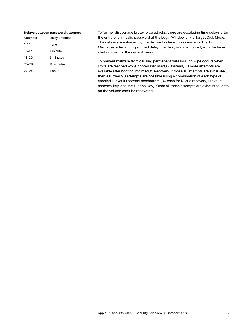#### **Delays between password attempts**

| Attempts  | Delay Enforced |
|-----------|----------------|
| $1 - 14$  | none           |
| $15 - 17$ | 1 minute       |
| $18 - 20$ | 5 minutes      |
| $21 - 26$ | 15 minutes     |
| $27 - 30$ | 1 hour         |
|           |                |

To further discourage brute-force attacks, there are escalating time delays after the entry of an invalid password at the Login Window or via Target Disk Mode. The delays are enforced by the Secure Enclave coprocessor on the T2 chip. If Mac is restarted during a timed delay, the delay is still enforced, with the timer starting over for the current period.

To prevent malware from causing permanent data loss, no wipe occurs when limits are reached while booted into macOS. Instead, 10 more attempts are available after booting into macOS Recovery. If those 10 attempts are exhausted, then a further 90 attempts are possible using a combination of each type of enabled FileVault recovery mechanism (30 each for iCloud recovery, FileVault recovery key, and institutional key). Once all those attempts are exhausted, data on the volume can't be recovered.

Apple T2 Security Chip | Security Overview | October 2018 7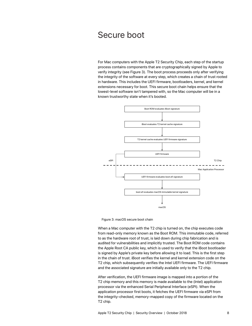## Secure boot

For Mac computers with the Apple T2 Security Chip, each step of the startup process contains components that are cryptographically signed by Apple to verify integrity (see Figure 3). The boot process proceeds only after verifying the integrity of the software at every step, which creates a chain of trust rooted in hardware. This includes the UEFI firmware, bootloaders, kernel, and kernel extensions necessary for boot. This secure boot chain helps ensure that the lowest-level software isn't tampered with, so the Mac computer will be in a known trustworthy state when it's booted.



Figure 3: macOS secure boot chain

When a Mac computer with the T2 chip is turned on, the chip executes code from read-only memory known as the Boot ROM. This immutable code, referred to as the hardware root of trust, is laid down during chip fabrication and is audited for vulnerabilities and implicitly trusted. The Boot ROM code contains the Apple Root CA public key, which is used to verify that the iBoot bootloader is signed by Apple's private key before allowing it to load. This is the first step in the chain of trust. iBoot verifies the kernel and kernel extension code on the T2 chip, which subsequently verifies the Intel UEFI firmware. The UEFI firmware and the associated signature are initially available only to the T2 chip.

After verification, the UEFI firmware image is mapped into a portion of the T2 chip memory and this memory is made available to the (Intel) application processor via the enhanced Serial Peripheral Interface (eSPI). When the application processor first boots, it fetches the UEFI firmware via eSPI from the integrity-checked, memory-mapped copy of the firmware located on the T2 chip.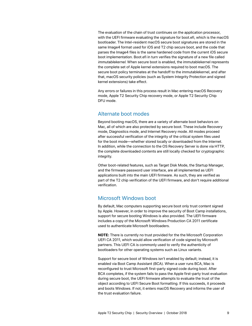The evaluation of the chain of trust continues on the application processor, with the UEFI firmware evaluating the signature for boot.efi, which is the macOS bootloader. The Intel-resident macOS secure boot signatures are stored in the same Image4 format used for iOS and T2 chip secure boot, and the code that parses the Image4 files is the same hardened code from the current iOS secure boot implementation. Boot.efi in turn verifies the signature of a new file called *immutablekernel*. When secure boot is enabled, the immutablekernel represents the complete set of Apple kernel extensions required to boot macOS. The secure boot policy terminates at the handoff to the immutablekernel, and after that, macOS security policies (such as System Integrity Protection and signed kernel extensions) take effect.

Any errors or failures in this process result in Mac entering macOS Recovery mode, Apple T2 Security Chip recovery mode, or Apple T2 Security Chip DFU mode.

### Alternate boot modes

Beyond booting macOS, there are a variety of alternate boot behaviors on Mac, all of which are also protected by secure boot. These include Recovery mode, Diagnostics mode, and Internet Recovery mode. All modes proceed after successful verification of the integrity of the critical system files used for the boot mode—whether stored locally or downloaded from the Internet. In addition, while the connection to the OS Recovery Server is done via HTTP, the complete downloaded contents are still locally checked for cryptographic integrity.

Other boot-related features, such as Target Disk Mode, the Startup Manager, and the firmware password user interface, are all implemented as UEFI applications built into the main UEFI firmware. As such, they are verified as part of the T2 chip verification of the UEFI firmware, and don't require additional verification.

### Microsoft Windows boot

By default, Mac computers supporting secure boot only trust content signed by Apple. However, in order to improve the security of Boot Camp installations, support for secure booting Windows is also provided. The UEFI firmware includes a copy of the Microsoft Windows Production CA 2011 certificate used to authenticate Microsoft bootloaders.

**NOTE:** There is currently no trust provided for the the Microsoft Corporation UEFI CA 2011, which would allow verification of code signed by Microsoft partners. This UEFI CA is commonly used to verify the authenticity of bootloaders for other operating systems such as Linux variants.

Support for secure boot of Windows isn't enabled by default; instead, it is enabled via Boot Camp Assistant (BCA). When a user runs BCA, Mac is reconfigured to trust Microsoft first-party signed code during boot. After BCA completes, if the system fails to pass the Apple first-party trust evaluation during secure boot, the UEFI firmware attempts to evaluate the trust of the object according to UEFI Secure Boot formatting. If this succeeds, it proceeds and boots Windows. If not, it enters macOS Recovery and informs the user of the trust evaluation failure.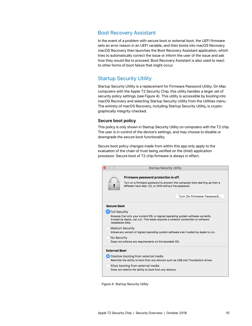#### Boot Recovery Assistant

In the event of a problem with secure boot or external boot, the UEFI firmware sets an error reason in an UEFI variable, and then boots into macOS Recovery. macOS Recovery then launches the Boot Recovery Assistant application, which tries to automatically correct the issue or inform the user of the issue and ask how they would like to proceed. Boot Recovery Assistant is also used to react to other forms of boot failure that might occur.

### Startup Security Utility

Startup Security Utility is a replacement for Firmware Password Utility. On Mac computers with the Apple T2 Security Chip, this utility handles a larger set of security policy settings (see Figure 4). This utility is accessible by booting into macOS Recovery and selecting Startup Security Utility from the Utilities menu. The entirety of macOS Recovery, including Startup Security Utility, is cryptographically integrity-checked.

#### **Secure boot policy**

This policy is only shown in Startup Security Utility on computers with the T2 chip. The user is in control of the device's settings, and may choose to disable or downgrade the secure boot functionality.

Secure boot policy changes made from within this app only apply to the evaluation of the chain of trust being verified on the (Intel) application processor. Secure boot of T2 chip firmware is always in effect.



Figure 4: Startup Security Utility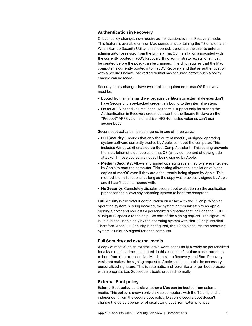#### **Authentication in Recovery**

Critical policy changes now require authentication, even in Recovery mode. This feature is available only on Mac computers containing the T2 chip or later. When Startup Security Utility is first opened, it prompts the user to enter an administrator password from the primary macOS installation associated with the currently booted macOS Recovery. If no administrator exists, one must be created before the policy can be changed. The chip requires that the Mac computer is currently booted into macOS Recovery and that an authentication with a Secure Enclave–backed credential has occurred before such a policy change can be made.

Security policy changes have two implicit requirements. macOS Recovery must be:

- Booted from an internal drive, because partitions on external devices don't have Secure Enclave–backed credentials bound to the internal system.
- On an APFS-based volume, because there is support only for storing the Authentication in Recovery credentials sent to the Secure Enclave on the "Preboot" APFS volume of a drive. HFS-formatted volumes can't use secure boot.

Secure boot policy can be configured in one of three ways:

- **Full Security:** Ensures that only the current macOS, or signed operating system software currently trusted by Apple, can boot the computer. This includes Windows (if enabled via Boot Camp Assistant). This setting prevents the installation of older copies of macOS (a key component of downgrade attacks) if those copies are not still being signed by Apple.
- **Medium Security:** Allows any signed operating system software ever trusted by Apple to boot the computer. This setting allows the installation of older copies of macOS even if they are *not* currently being signed by Apple. This method is only functional as long as the copy was previously signed by Apple and it hasn't been tampered with.
- **No Security:** Completely disables secure boot evaluation on the application processor and allows any operating system to boot the computer.

Full Security is the default configuration on a Mac with the T2 chip. When an operating system is being installed, the system communicates to an Apple Signing Server and requests a personalized signature that includes the ECID a unique ID specific to the chip—as part of the signing request. The signature is unique and usable only by the operating system with that T2 chip installed. Therefore, when Full Security is configured, the T2 chip ensures the operating system is uniquely signed for each computer.

#### **Full Security and external media**

A copy of macOS on an external drive won't necessarily already be personalized for a Mac the first time it is booted. In this case, the first time a user attempts to boot from the external drive, Mac boots into Recovery, and Boot Recovery Assistant makes the signing request to Apple so it can obtain the necessary personalized signature. This is automatic, and looks like a longer boot process with a progress bar. Subsequent boots proceed normally.

#### **External Boot policy**

External Boot policy controls whether a Mac can be booted from external media. This policy is shown only on Mac computers with the T2 chip and is independent from the secure boot policy. Disabling secure boot doesn't change the default behavior of disallowing boot from external drives.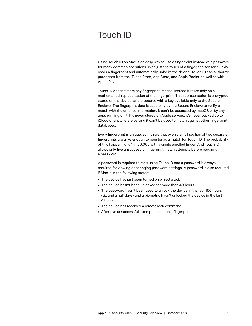# Touch ID

Using Touch ID on Mac is an easy way to use a fingerprint instead of a password for many common operations. With just the touch of a finger, the sensor quickly reads a fingerprint and automatically unlocks the device. Touch ID can authorize purchases from the iTunes Store, App Store, and Apple Books, as well as with Apple Pay.

Touch ID doesn't store any fingerprint images, instead it relies only on a mathematical representation of the fingerprint. This representation is encrypted, stored on the device, and protected with a key available only to the Secure Enclave. The fingerprint data is used only by the Secure Enclave to verify a match with the enrolled information. It can't be accessed by macOS or by any apps running on it. It's never stored on Apple servers, it's never backed up to iCloud or anywhere else, and it can't be used to match against other fingerprint databases.

Every fingerprint is unique, so it's rare that even a small section of two separate fingerprints are alike enough to register as a match for Touch ID. The probability of this happening is 1 in 50,000 with a single enrolled finger. And Touch ID allows only five unsuccessful fingerprint match attempts before requiring a password.

A password is required to start using Touch ID and a password is always required for viewing or changing password settings. A password is also required if Mac is in the following states:

- The device has just been turned on or restarted.
- The device hasn't been unlocked for more than 48 hours.
- The password hasn't been used to unlock the device in the last 156 hours (six and a half days) and a biometric hasn't unlocked the device in the last 4 hours.
- The device has received a remote lock command.
- After five unsuccessful attempts to match a fingerprint.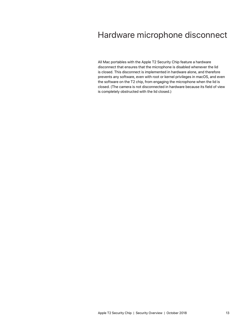# Hardware microphone disconnect

All Mac portables with the Apple T2 Security Chip feature a hardware disconnect that ensures that the microphone is disabled whenever the lid is closed. This disconnect is implemented in hardware alone, and therefore prevents any software, even with root or kernel privileges in macOS, and even the software on the T2 chip, from engaging the microphone when the lid is closed. (The camera is not disconnected in hardware because its field of view is completely obstructed with the lid closed.)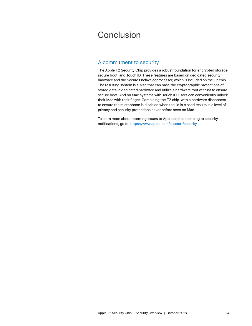# Conclusion

## A commitment to security

The Apple T2 Security Chip provides a robust foundation for encrypted storage, secure boot, and Touch ID. These features are based on dedicated security hardware and the Secure Enclave coprocessor, which is included on the T2 chip. The resulting system is a Mac that can base the cryptographic protections of stored data in dedicated hardware and utilize a hardware root of trust to ensure secure boot. And on Mac systems with Touch ID, users can conveniently unlock their Mac with their finger. Combining the T2 chip with a hardware disconnect to ensure the microphone is disabled when the lid is closed results in a level of privacy and security protections never before seen on Mac.

To learn more about reporting issues to Apple and subscribing to security notifications, go to: [https://www.apple.com/support/security.](https://www.apple.com/support/security)